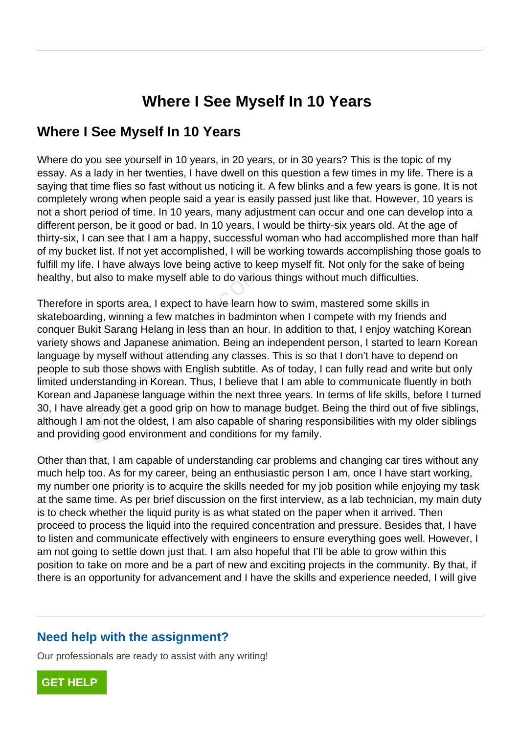# **Where I See Myself In 10 Years**

### **Where I See Myself In 10 Years**

Where do you see yourself in 10 years, in 20 years, or in 30 years? This is the topic of my essay. As a lady in her twenties, I have dwell on this question a few times in my life. There is a saying that time flies so fast without us noticing it. A few blinks and a few years is gone. It is not completely wrong when people said a year is easily passed just like that. However, 10 years is not a short period of time. In 10 years, many adjustment can occur and one can develop into a different person, be it good or bad. In 10 years, I would be thirty-six years old. At the age of thirty-six, I can see that I am a happy, successful woman who had accomplished more than half of my bucket list. If not yet accomplished, I will be working towards accomplishing those goals to fulfill my life. I have always love being active to keep myself fit. Not only for the sake of being healthy, but also to make myself able to do various things without much difficulties.

Therefore in sports area, I expect to have learn how to swim, mastered some skills in skateboarding, winning a few matches in badminton when I compete with my friends and conquer Bukit Sarang Helang in less than an hour. In addition to that, I enjoy watching Korean variety shows and Japanese animation. Being an independent person, I started to learn Korean language by myself without attending any classes. This is so that I don't have to depend on people to sub those shows with English subtitle. As of today, I can fully read and write but only limited understanding in Korean. Thus, I believe that I am able to communicate fluently in both Korean and Japanese language within the next three years. In terms of life skills, before I turned 30, I have already get a good grip on how to manage budget. Being the third out of five siblings, although I am not the oldest, I am also capable of sharing responsibilities with my older siblings and providing good environment and conditions for my family. It also to make myself able to do varioution<br>in sports area, I expect to have learn h<br>ding, winning a few matches in badmin<br>ukit Sarang Helang in less than an hou<br>bws and Japanese animation. Being an<br>by myself without atte

Other than that, I am capable of understanding car problems and changing car tires without any much help too. As for my career, being an enthusiastic person I am, once I have start working, my number one priority is to acquire the skills needed for my job position while enjoying my task at the same time. As per brief discussion on the first interview, as a lab technician, my main duty is to check whether the liquid purity is as what stated on the paper when it arrived. Then proceed to process the liquid into the required concentration and pressure. Besides that, I have to listen and communicate effectively with engineers to ensure everything goes well. However, I am not going to settle down just that. I am also hopeful that I'll be able to grow within this position to take on more and be a part of new and exciting projects in the community. By that, if there is an opportunity for advancement and I have the skills and experience needed, I will give

### **Need help with the assignment?**

Our professionals are ready to assist with any writing!

**[GET HELP](https://my.gradesfixer.com/order?utm_campaign=pdf_sample)**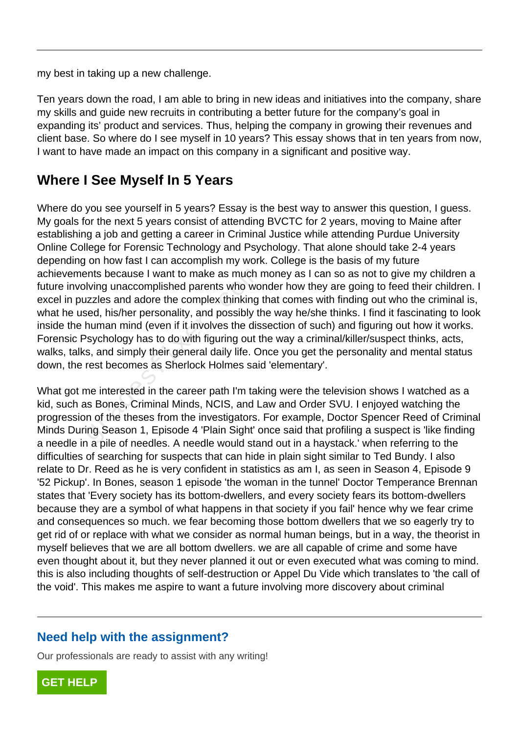my best in taking up a new challenge.

Ten years down the road, I am able to bring in new ideas and initiatives into the company, share my skills and guide new recruits in contributing a better future for the company's goal in expanding its' product and services. Thus, helping the company in growing their revenues and client base. So where do I see myself in 10 years? This essay shows that in ten years from now, I want to have made an impact on this company in a significant and positive way.

## **Where I See Myself In 5 Years**

Where do you see yourself in 5 years? Essay is the best way to answer this question, I guess. My goals for the next 5 years consist of attending BVCTC for 2 years, moving to Maine after establishing a job and getting a career in Criminal Justice while attending Purdue University Online College for Forensic Technology and Psychology. That alone should take 2-4 years depending on how fast I can accomplish my work. College is the basis of my future achievements because I want to make as much money as I can so as not to give my children a future involving unaccomplished parents who wonder how they are going to feed their children. I excel in puzzles and adore the complex thinking that comes with finding out who the criminal is, what he used, his/her personality, and possibly the way he/she thinks. I find it fascinating to look inside the human mind (even if it involves the dissection of such) and figuring out how it works. Forensic Psychology has to do with figuring out the way a criminal/killer/suspect thinks, acts, walks, talks, and simply their general daily life. Once you get the personality and mental status down, the rest becomes as Sherlock Holmes said 'elementary'. ents because I want to make as much r<br>Iving unaccomplished parents who worker<br>Izzles and adore the complex thinking<br>ised, his/her personality, and possibly th<br>human mind (even if it involves the dis-<br>Psychology has to do w

What got me interested in the career path I'm taking were the television shows I watched as a kid, such as Bones, Criminal Minds, NCIS, and Law and Order SVU. I enjoyed watching the progression of the theses from the investigators. For example, Doctor Spencer Reed of Criminal Minds During Season 1, Episode 4 'Plain Sight' once said that profiling a suspect is 'like finding a needle in a pile of needles. A needle would stand out in a haystack.' when referring to the difficulties of searching for suspects that can hide in plain sight similar to Ted Bundy. I also relate to Dr. Reed as he is very confident in statistics as am I, as seen in Season 4, Episode 9 '52 Pickup'. In Bones, season 1 episode 'the woman in the tunnel' Doctor Temperance Brennan states that 'Every society has its bottom-dwellers, and every society fears its bottom-dwellers because they are a symbol of what happens in that society if you fail' hence why we fear crime and consequences so much. we fear becoming those bottom dwellers that we so eagerly try to get rid of or replace with what we consider as normal human beings, but in a way, the theorist in myself believes that we are all bottom dwellers. we are all capable of crime and some have even thought about it, but they never planned it out or even executed what was coming to mind. this is also including thoughts of self-destruction or Appel Du Vide which translates to 'the call of the void'. This makes me aspire to want a future involving more discovery about criminal

### **Need help with the assignment?**

Our professionals are ready to assist with any writing!

**[GET HELP](https://my.gradesfixer.com/order?utm_campaign=pdf_sample)**